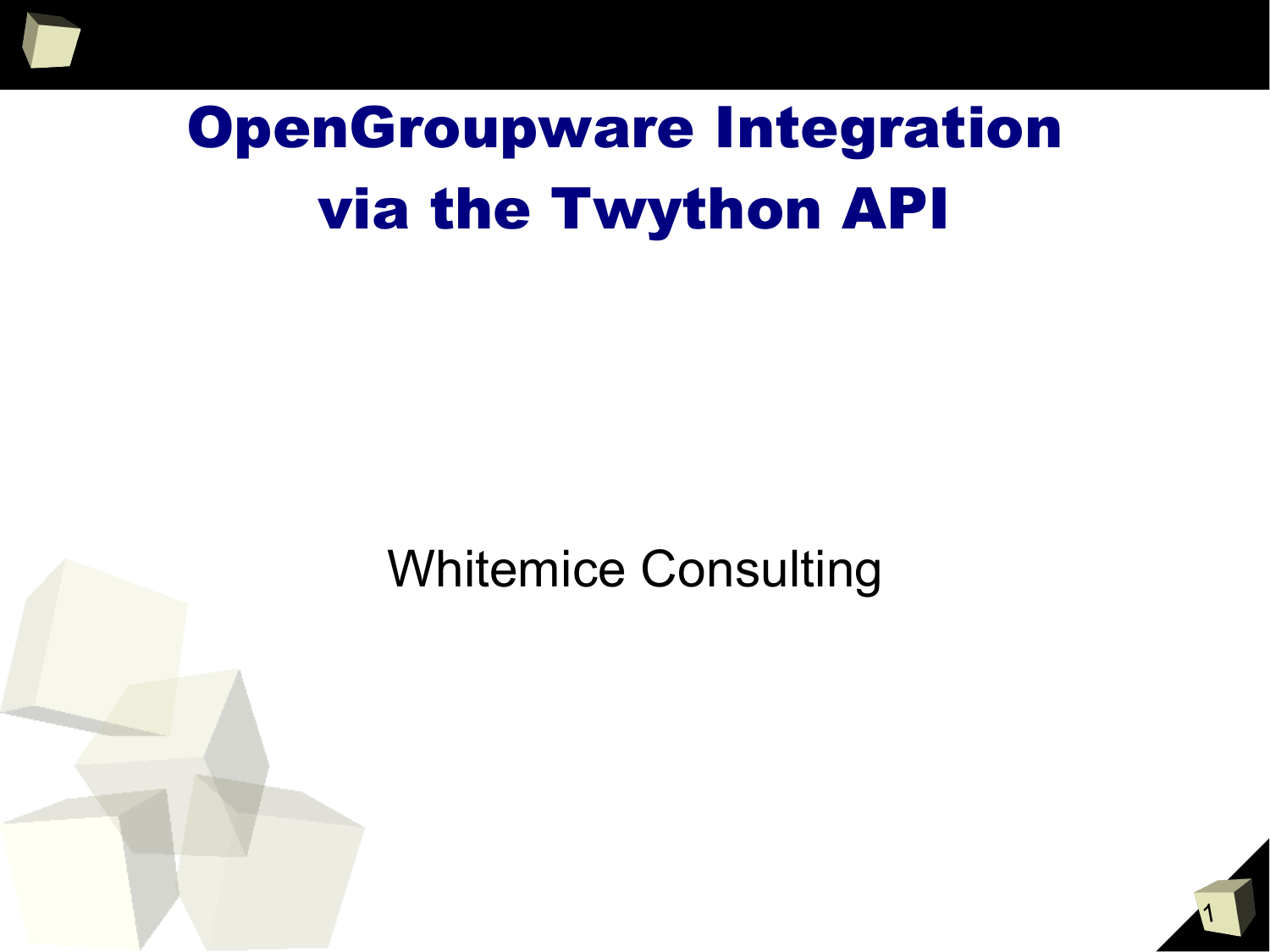# OpenGroupware Integration via the Twython API

#### Whitemice Consulting

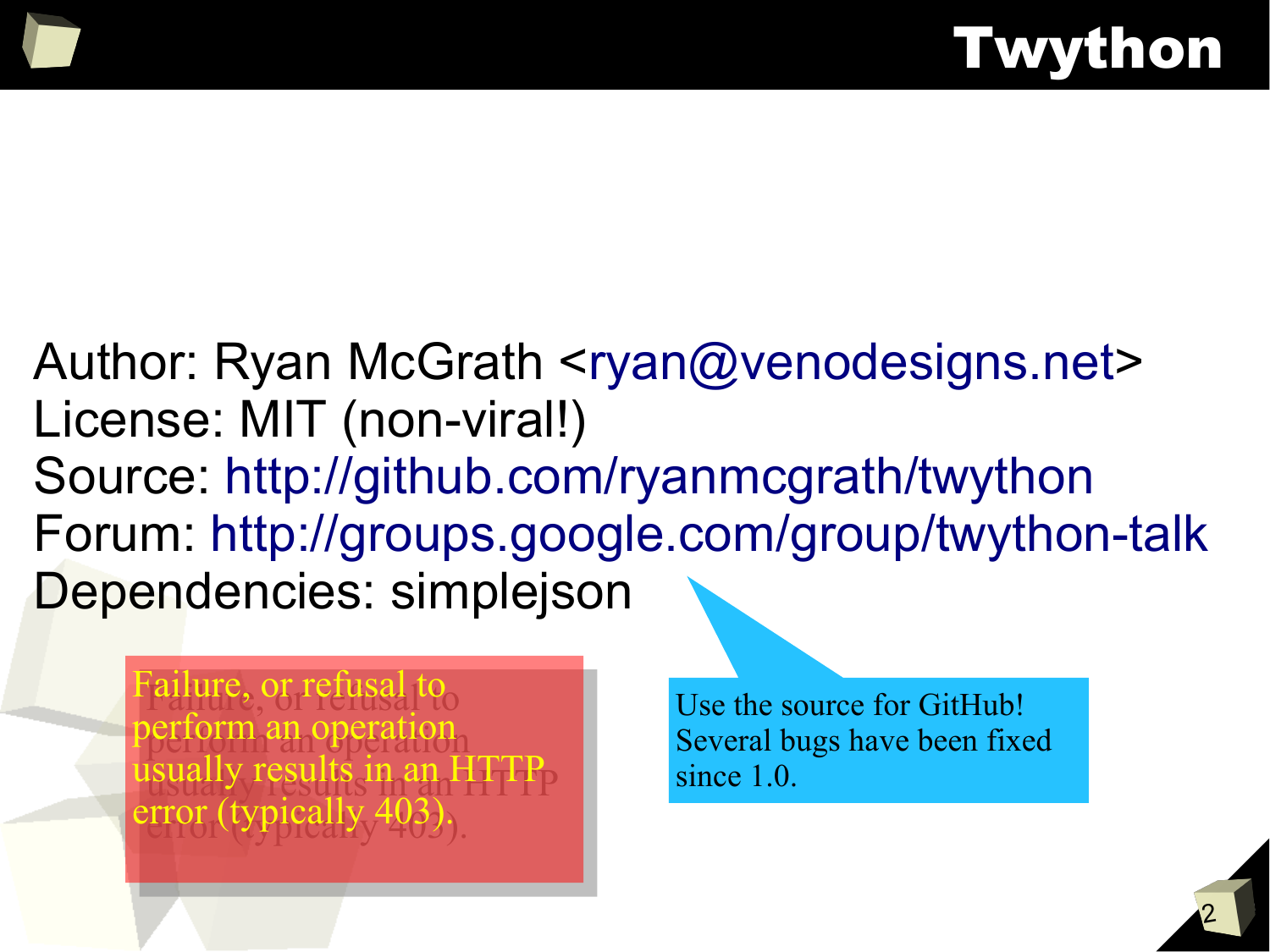Author: Ryan McGrath <ryan@venodesigns.net> License: MIT (non-viral!) Source: http://github.com/ryanmcgrath/twython Forum: http://groups.google.com/group/twython-talk Dependencies: simplejson

allure, or refusal to  $\sim$ perform an operation isually results in an  $H1T_{\rm P}$  $error$  (typically 403). Failure, or refusal to perform an operation usually results in an HTTP error (typically 403).

Use the source for GitHub! Several bugs have been fixed since 1.0.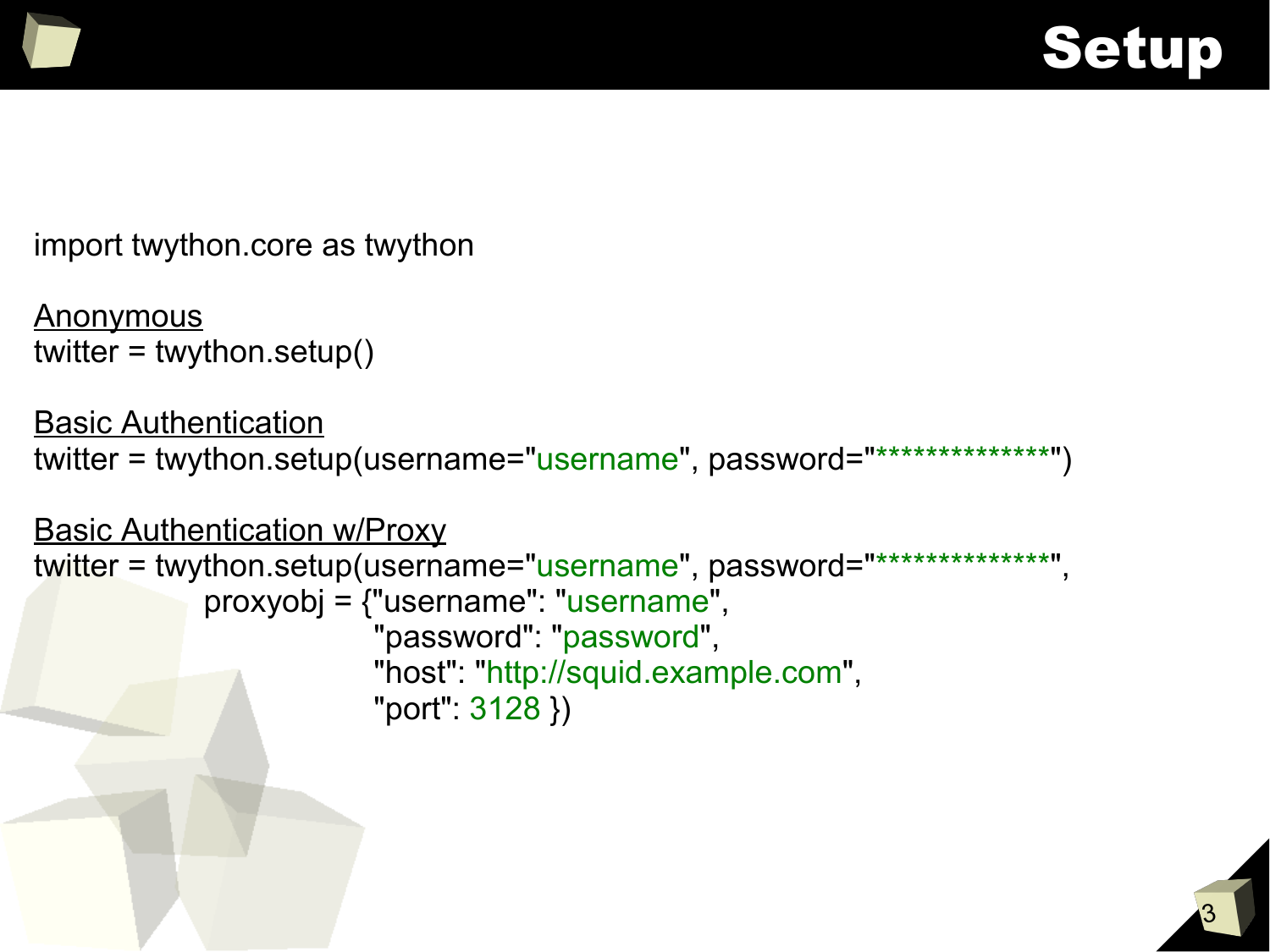



import twython.core as twython

```
Anonymous
twitter = twython.setup()
```

```
Basic Authentication
twitter = twython.setup(username="username", password="**************")
```

```
Basic Authentication w/Proxy
twitter = twython.setup(username="username", password="***************"
            proxyobj = {"username": "username",
                        "password": "password",
                         "host": "http://squid.example.com",
                         "port": 3128 })
```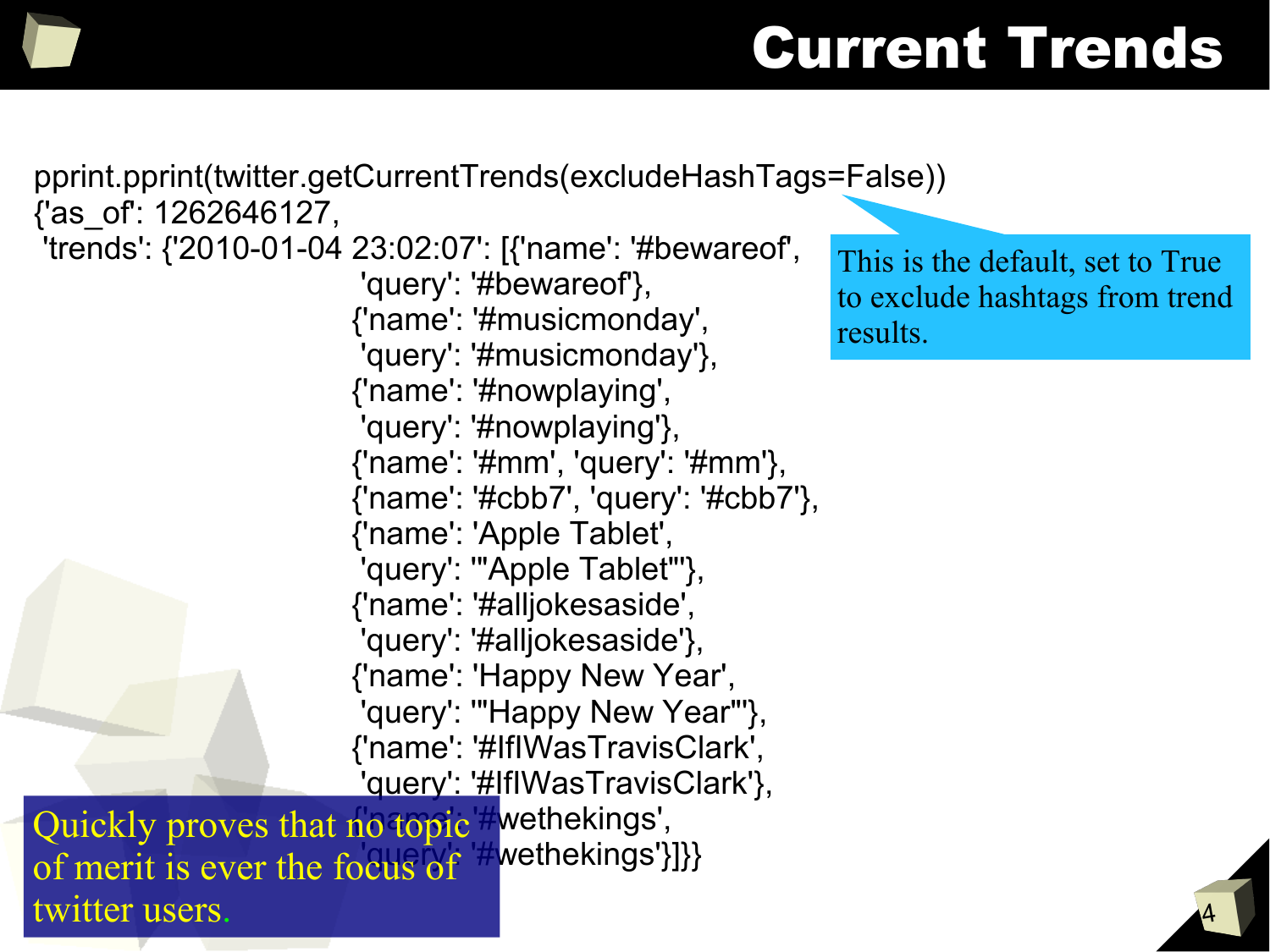### Current Trends

pprint.pprint(twitter.getCurrentTrends(excludeHashTags=False)) {'as\_of': 1262646127, 'trends': {'2010-01-04 23:02:07': [{'name': '#bewareof', 'query': '#bewareof'}, {'name': '#musicmonday', 'query': '#musicmonday'}, {'name': '#nowplaying', 'query': '#nowplaying'}, {'name': '#mm', 'query': '#mm'}, {'name': '#cbb7', 'query': '#cbb7'}, {'name': 'Apple Tablet', 'query': '"Apple Tablet"'}, {'name': '#alljokesaside', 'query': '#alljokesaside'}, {'name': 'Happy New Year', 'query': '"Happy New Year"'}, {'name': '#IfIWasTravisClark', 'query': '#IfIWasTravisClark'}, Quickly proves that no topic wethekings', of merit is ever the focus of  $#$ wethekings'}]} twitter users.

This is the default, set to True to exclude hashtags from trend results.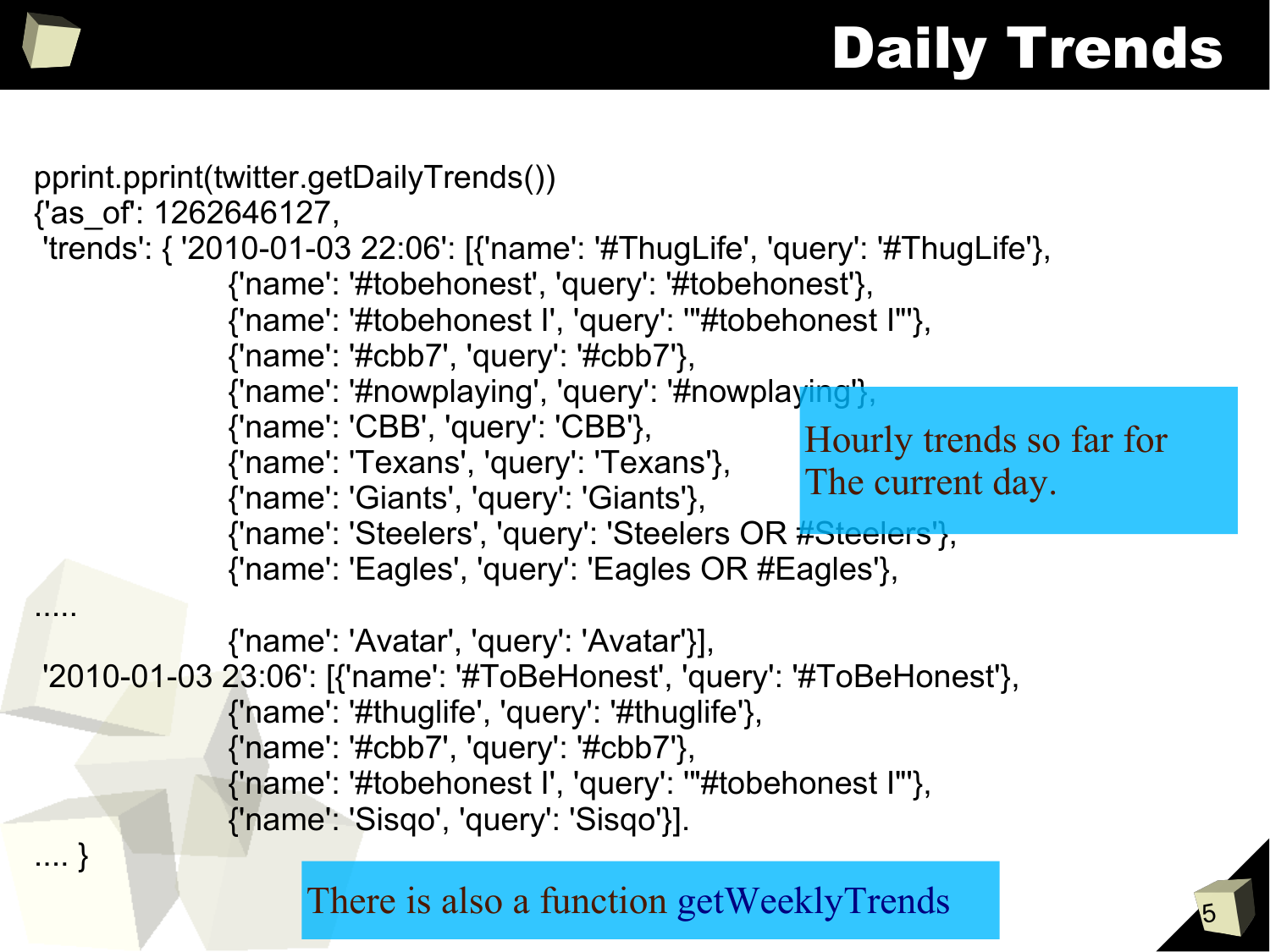## Daily Trends

```
5
pprint.pprint(twitter.getDailyTrends())
{'as_of': 1262646127,
'trends': { '2010-01-03 22:06': [{'name': '#ThugLife', 'query': '#ThugLife'},
               {'name': '#tobehonest', 'query': '#tobehonest'},
               {'name': '#tobehonest I', 'query': '"#tobehonest I"'},
               {'name': '#cbb7', 'query': '#cbb7'},
               {'name': '#nowplaying', 'query': '#nowplaying'},
               {'name': 'CBB', 'query': 'CBB'},
               {'name': 'Texans', 'query': 'Texans'},
               {'name': 'Giants', 'query': 'Giants'},
               {'name': 'Steelers', 'query': 'Steelers OR #Steelers'},
               {'name': 'Eagles', 'query': 'Eagles OR #Eagles'},
.....
               {'name': 'Avatar', 'query': 'Avatar'}],
'2010-01-03 23:06': [{'name': '#ToBeHonest', 'query': '#ToBeHonest'},
               {'name': '#thuglife', 'query': '#thuglife'},
               {'name': '#cbb7', 'query': '#cbb7'},
               {'name': '#tobehonest I', 'query': '"#tobehonest I"'},
               {'name': 'Sisqo', 'query': 'Sisqo'}].
.... }
                                                           Hourly trends so far for
                                                           The current day.
                     There is also a function getWeeklyTrends
```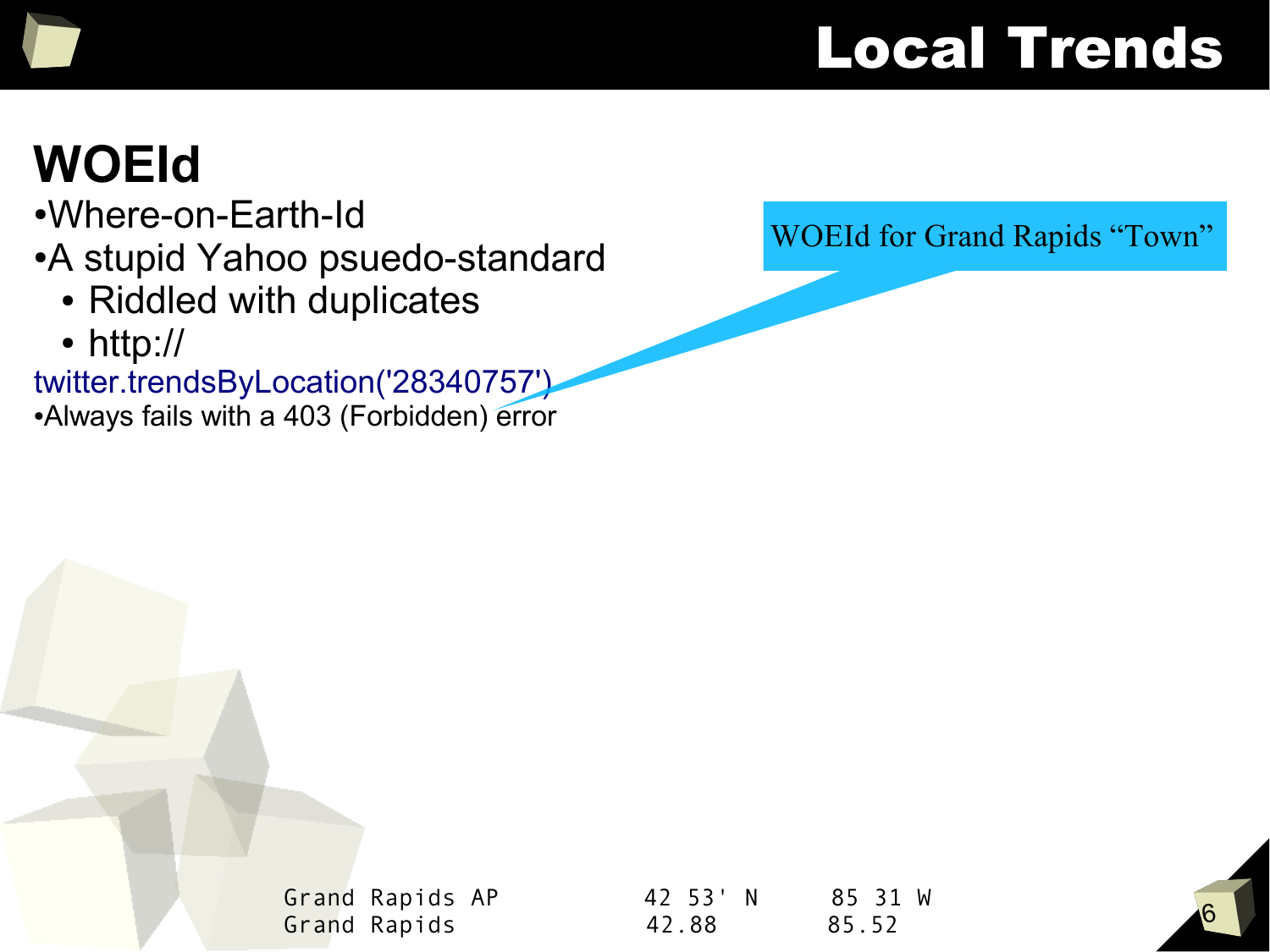#### Local Trends

#### **WOEId**

- ●Where-on-Earth-Id
- A stupid Yahoo psuedo-standard
	- Riddled with duplicates
	- http://

twitter.trendsByLocation('28340757') • Always fails with a 403 (Forbidden) error WOEId for Grand Rapids "Town"

Grand Rapids AP 42 53' N 85 31 W Grand Rapids 42.88 85.52

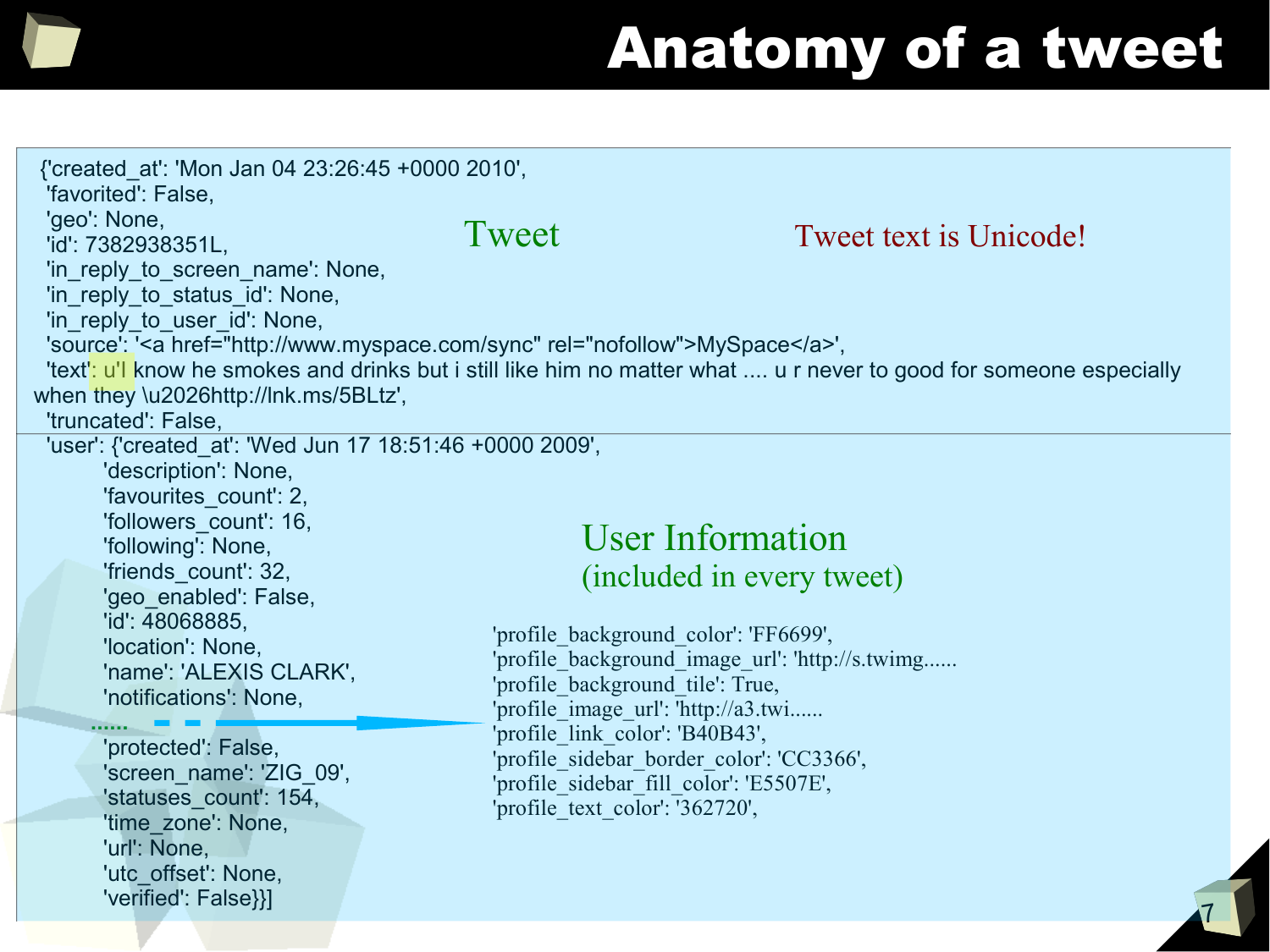

# Anatomy of a tweet

| {'created_at': 'Mon Jan 04 23:26:45 +0000 2010',<br>'favorited': False,<br>'geo': None,<br>'id': 7382938351L,<br>'in reply to screen name': None,<br>'in_reply_to_status_id': None,<br>'in_reply_to_user_id': None,<br>'source': ' <a href="http://www.myspace.com/sync" rel="nofollow">MySpace</a> ',<br>when they \u2026http://lnk.ms/5BLtz',<br>'truncated': False, | Tweet | Tweet text is Unicode!<br>'text': u'l know he smokes and drinks but i still like him no matter what  u r never to good for someone especially                                                                                                                                                                                                                                             |  |
|------------------------------------------------------------------------------------------------------------------------------------------------------------------------------------------------------------------------------------------------------------------------------------------------------------------------------------------------------------------------|-------|-------------------------------------------------------------------------------------------------------------------------------------------------------------------------------------------------------------------------------------------------------------------------------------------------------------------------------------------------------------------------------------------|--|
| 'user': {'created_at': 'Wed Jun 17 18:51:46 +0000 2009',<br>'description': None,<br>'favourites count': 2,<br>'followers count': 16,<br>'following': None,<br>'friends_count': 32,<br>'geo enabled': False,<br>'id': 48068885,<br>'location': None,<br>'name': 'ALEXIS CLARK',<br>'notifications': None,                                                               |       | <b>User Information</b><br>(included in every tweet)<br>'profile background color': 'FF6699',<br>'profile background image url': 'http://s.twimg<br>'profile background tile': True,<br>'profile image url': 'http://a3.twi<br>'profile link color': 'B40B43',<br>'profile sidebar border color': 'CC3366',<br>'profile sidebar fill color': 'E5507E',<br>'profile text color': '362720', |  |
| 'protected': False,<br>'screen name': 'ZIG 09',<br>'statuses count': 154,<br>'time_zone': None,<br>'url': None,<br>'utc offset': None,<br>'verified': False}}]                                                                                                                                                                                                         |       |                                                                                                                                                                                                                                                                                                                                                                                           |  |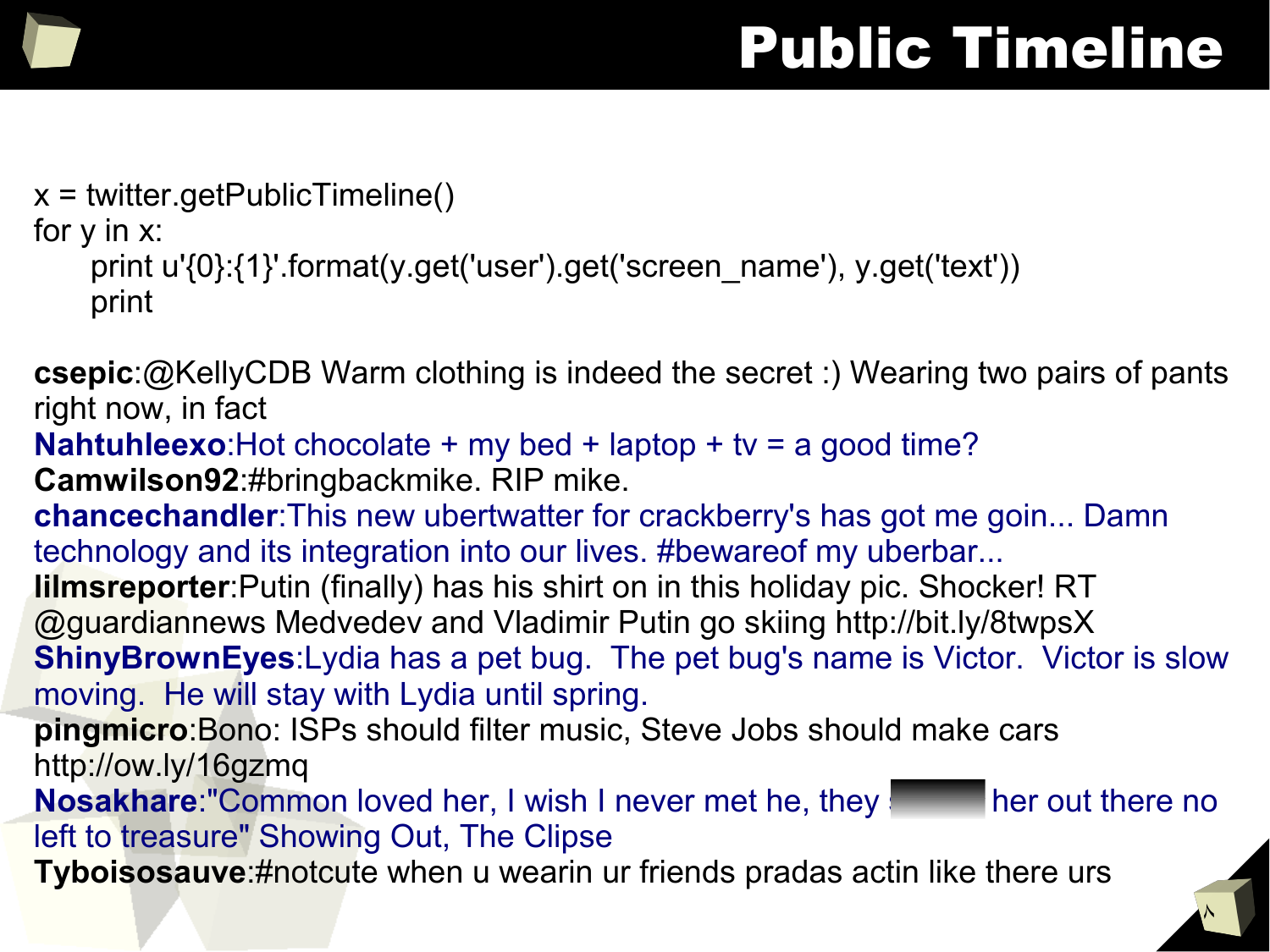#### Public Timeline

 $\lambda$ 

```
x = twitter.getPublicTimeline()
```
for y in x:

```
print u'{0}:{1}'.format(y.get('user').get('screen_name'), y.get('text'))
print
```
**csepic**:@KellyCDB Warm clothing is indeed the secret :) Wearing two pairs of pants right now, in fact

```
Nahtuhleexo:Hot chocolate + my bed + laptop + tv = a good time?
```
**Camwilson92**:#bringbackmike. RIP mike.

**chancechandler**:This new ubertwatter for crackberry's has got me goin... Damn technology and its integration into our lives. #bewareof my uberbar...

**lilmsreporter**:Putin (finally) has his shirt on in this holiday pic. Shocker! RT @guardiannews Medvedev and Vladimir Putin go skiing http://bit.ly/8twpsX

**ShinyBrownEyes**:Lydia has a pet bug. The pet bug's name is Victor. Victor is slow moving. He will stay with Lydia until spring.

**pingmicro**:Bono: ISPs should filter music, Steve Jobs should make cars http://ow.ly/16gzmq

**Nosakhare:"Common loved her, I wish I never met he, they see the out there no** left to treasure" Showing Out, The Clipse

**Tyboisosauve**:#notcute when u wearin ur friends pradas actin like there urs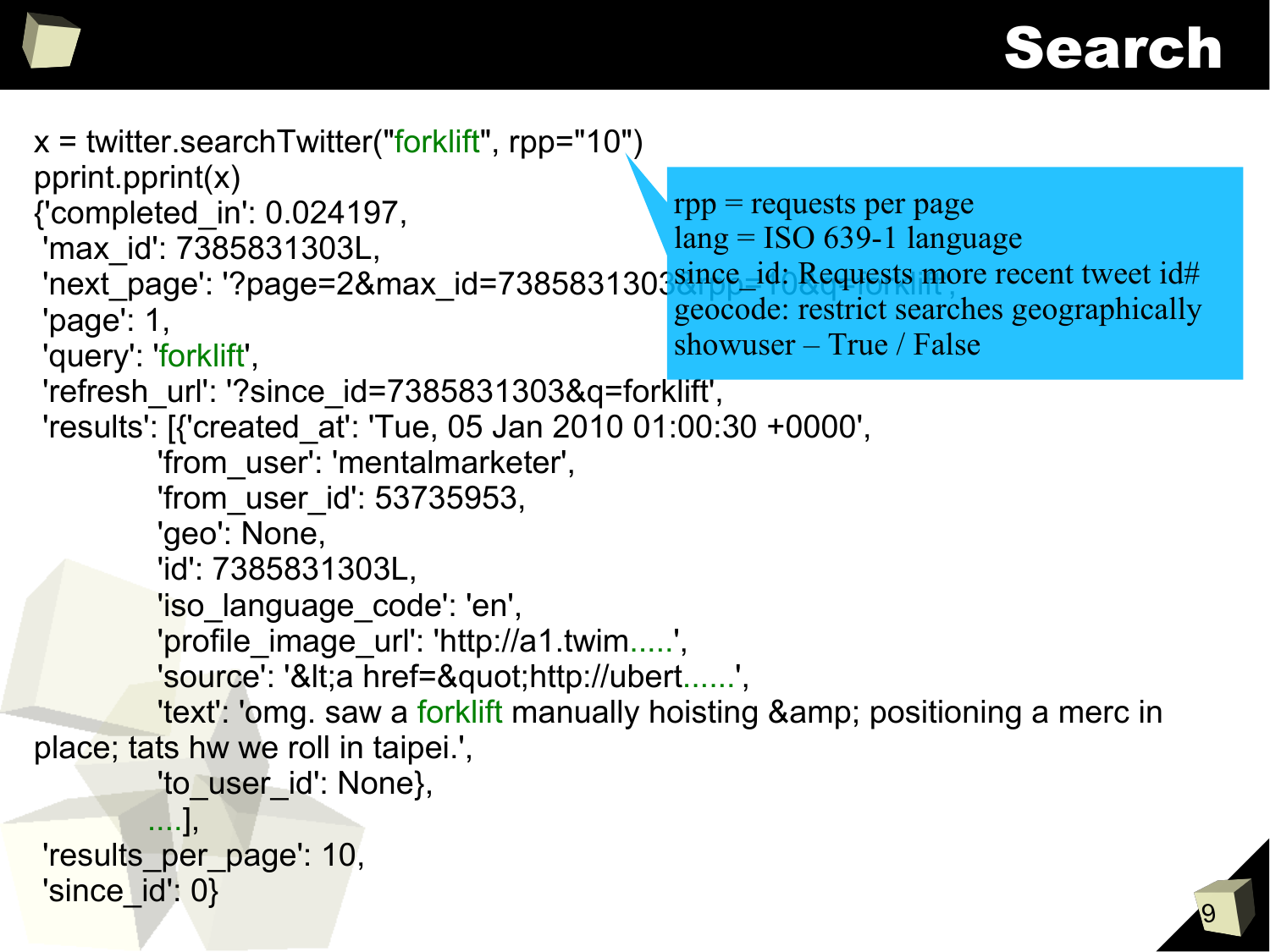#### Search

```
9
x = twitter.searchTwitter("forklift", rpp="10")
pprint.pprint(x)
{'completed_in': 0.024197,
'max_id': 7385831303L,
 The Latin Cool of Theory.<br>'next_page': '?page=2&max_id=7385831303<mark>since_id: Requests more recent tweet id#</mark>
'page': 1,
'query': 'forklift',
'refresh_url': '?since_id=7385831303&q=forklift',
'results': [{'created_at': 'Tue, 05 Jan 2010 01:00:30 +0000',
          'from_user': 'mentalmarketer',
          'from_user_id': 53735953,
          'geo': None,
          'id': 7385831303L,
          'iso_language_code': 'en',
         'profile image url': 'http://a1.twim.....',
         'source': '<a href=&quot;http://ubert......',
         'text': 'omg. saw a forklift manually hoisting & amp; positioning a merc in
place; tats hw we roll in taipei.',
          'to_user_id': None},
         ....],
'results_per_page': 10,
'sinceid: 0}
                                                   rpp = requests per page
                                                  lang = ISO 639-1 language
                                                  geocode: restrict searches geographically
                                                  showuser – True / False
```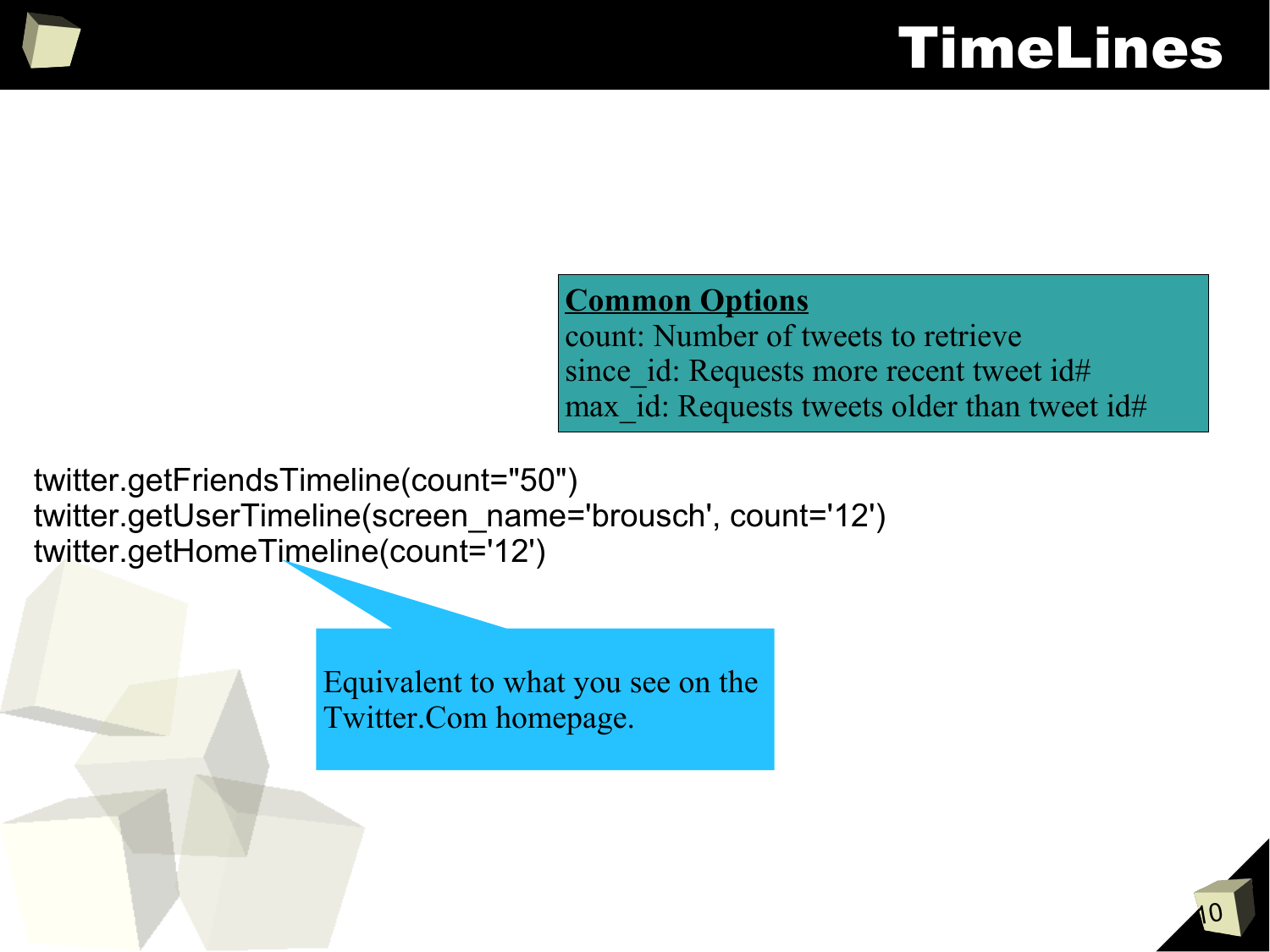#### TimeLines

#### **Common Options**

count: Number of tweets to retrieve since id: Requests more recent tweet id# max id: Requests tweets older than tweet id#

twitter.getFriendsTimeline(count="50") twitter.getUserTimeline(screen\_name='brousch', count='12') twitter.getHomeTimeline(count='12')

> Equivalent to what you see on the Twitter.Com homepage.

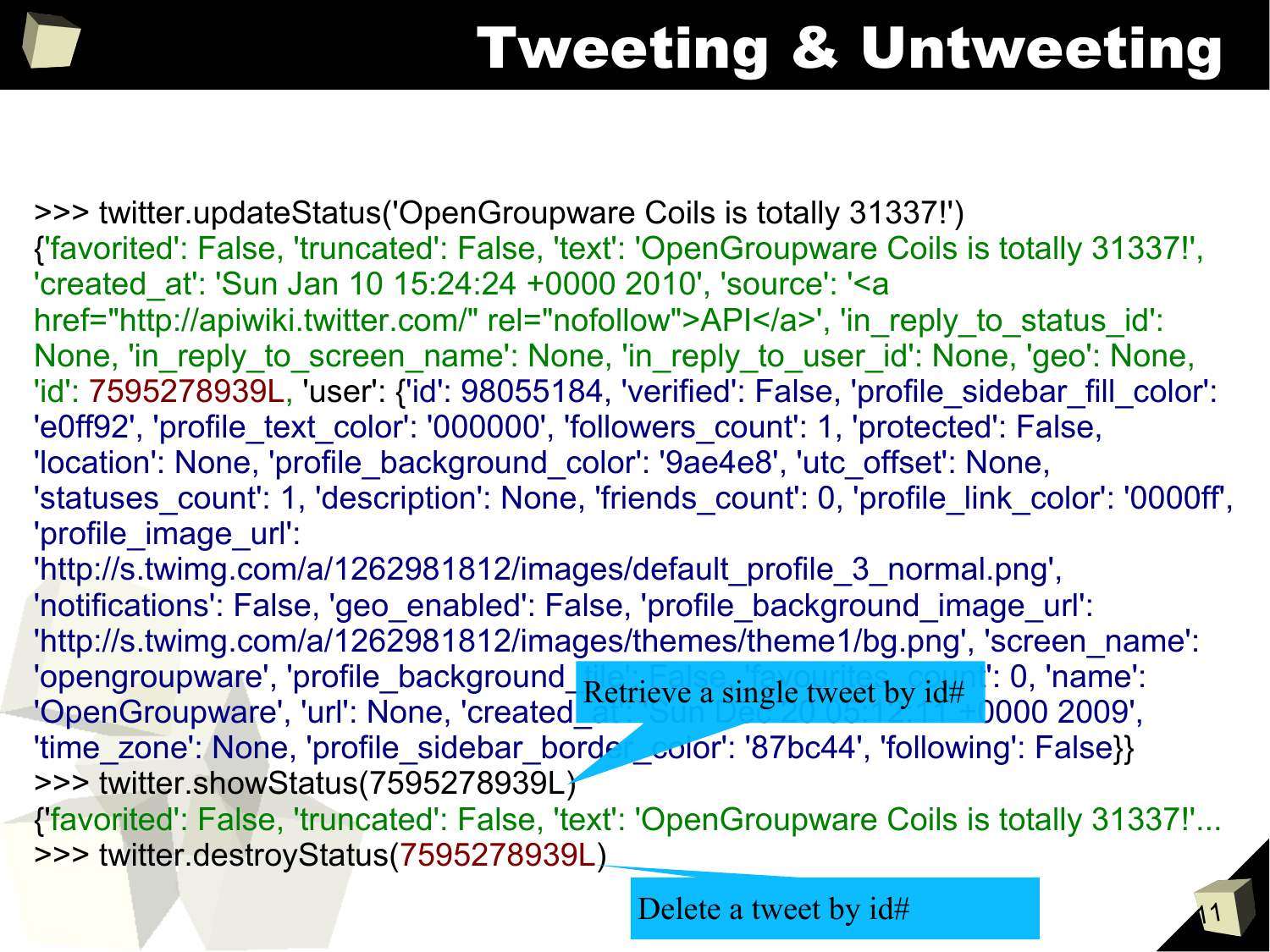## Tweeting & Untweeting

>>> twitter.updateStatus('OpenGroupware Coils is totally 31337!') {'favorited': False, 'truncated': False, 'text': 'OpenGroupware Coils is totally 31337!', 'created\_at': 'Sun Jan 10 15:24:24 +0000 2010', 'source': '<a href="http://apiwiki.twitter.com/" rel="nofollow">API</a>', 'in\_reply\_to\_status\_id': None, 'in reply to screen name': None, 'in reply\_to\_user\_id': None, 'geo': None, 'id': 7595278939L, 'user': {'id': 98055184, 'verified': False, 'profile\_sidebar\_fill\_color': 'e0ff92', 'profile text color': '000000', 'followers count': 1, 'protected': False, 'location': None, 'profile\_background\_color': '9ae4e8', 'utc\_offset': None, 'statuses\_count': 1, 'description': None, 'friends\_count': 0, 'profile\_link\_color': '0000ff', 'profile\_image\_url': 'http://s.twimg.com/a/1262981812/images/default\_profile\_3\_normal.png', 'notifications': False, 'geo\_enabled': False, 'profile\_background\_image\_url': 'http://s.twimg.com/a/1262981812/images/themes/theme1/bg.png', 'screen\_name': 'opengroupware', 'profile\_background\_patrieve.comple.tweet.by.id#1. 0, 'name': 'OpenGroupware', 'url': None, 'created\_att: 'Sung Civica by Id" 1000 2009', 'time\_zone': None, 'profile\_sidebar\_border\_color': '87bc44', 'following': False}} >>> twitter.showStatus(7595278939L) {'favorited': False, 'truncated': False, 'text': 'OpenGroupware Coils is totally 31337!'... >>> twitter.destroyStatus(7595278939L) Retrieve a single tweet by id#

Delete a tweet by id#

11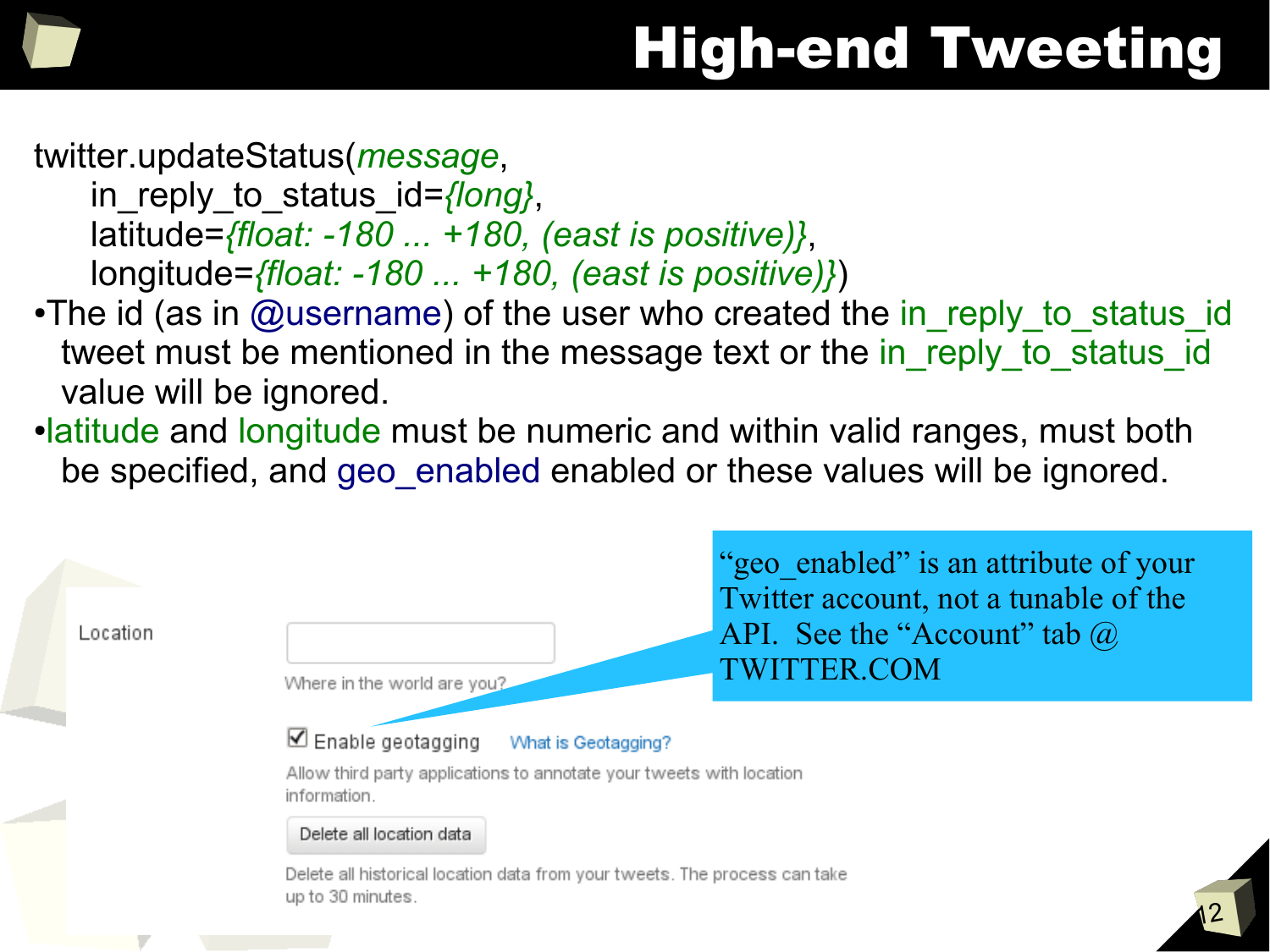

#### twitter.updateStatus(*message*,

in reply to status id=*{long}*, latitude=*{float: -180 ... +180, (east is positive)}*, longitude=*{float: -180 ... +180, (east is positive)}*)

- •The id (as in @username) of the user who created the in\_reply\_to\_status\_id tweet must be mentioned in the message text or the in reply to status id value will be ignored.
- •latitude and longitude must be numeric and within valid ranges, must both be specified, and geo enabled enabled or these values will be ignored.

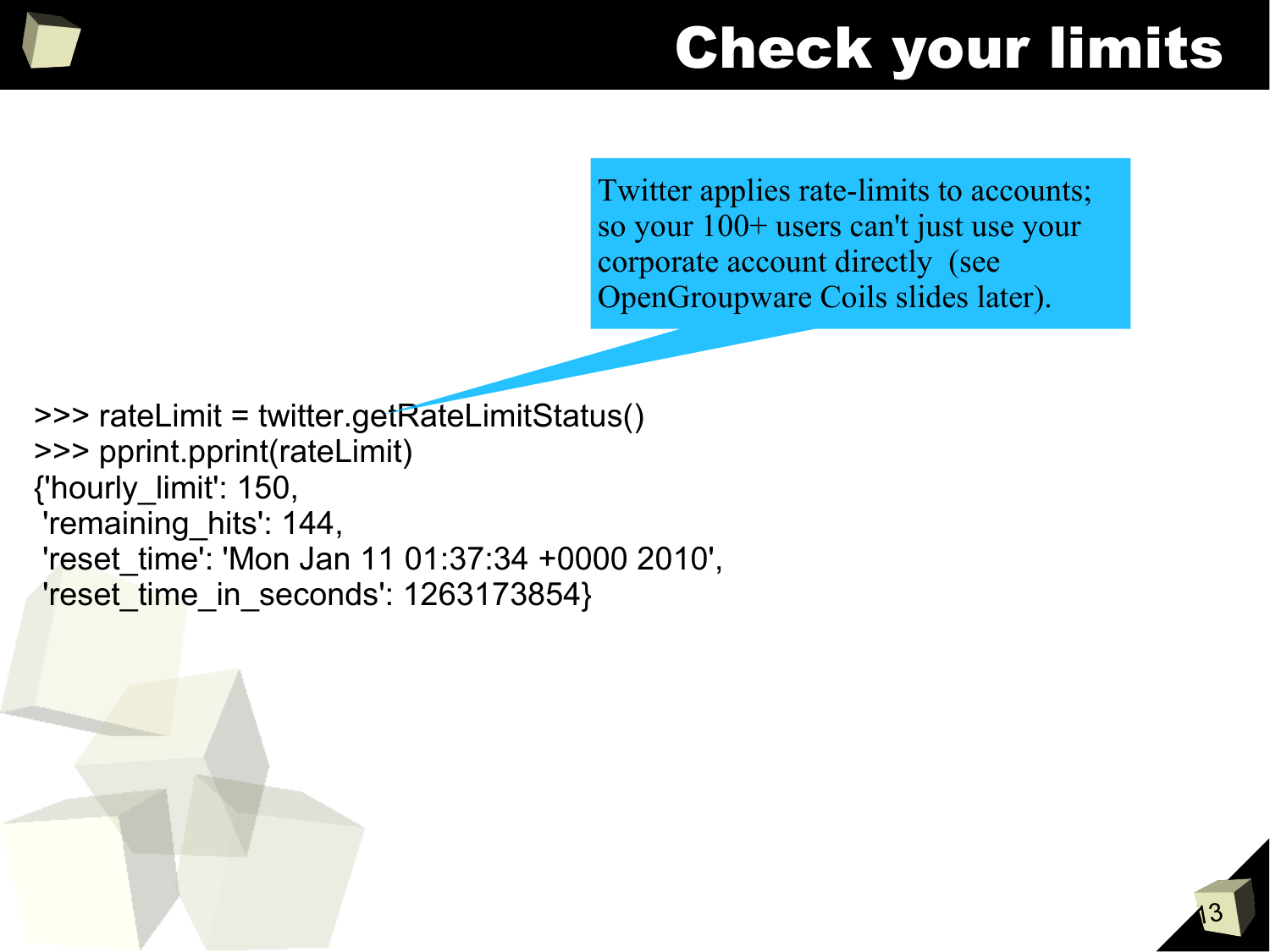#### Check your limits

Twitter applies rate-limits to accounts; so your 100+ users can't just use your corporate account directly (see OpenGroupware Coils slides later).

>>> rateLimit = twitter.getRateLimitStatus() >>> pprint.pprint(rateLimit) {'hourly\_limit': 150, 'remaining\_hits': 144, 'reset\_time': 'Mon Jan 11 01:37:34 +0000 2010', 'reset\_time\_in\_seconds': 1263173854}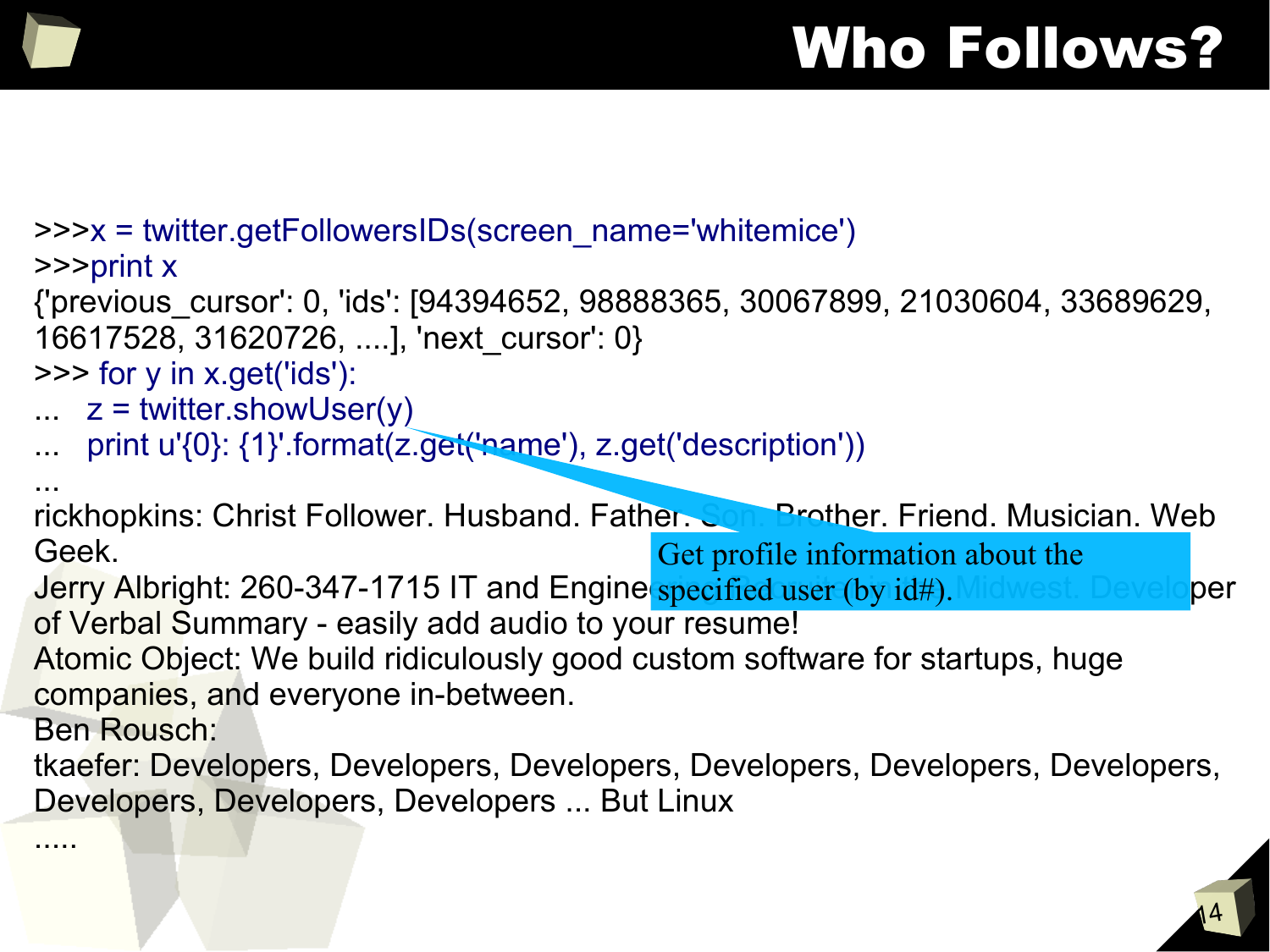## Who Follows?

>>>x = twitter.getFollowersIDs(screen\_name='whitemice')

>>>print x

{'previous\_cursor': 0, 'ids': [94394652, 98888365, 30067899, 21030604, 33689629, 16617528, 31620726, ....], 'next\_cursor': 0}

>>> for y in x.get('ids'):

- $\ldots$  z = twitter.showUser(y)
- print u'{0}: {1}'.format(z.get('name'), z.get('description'))

... rickhopkins: Christ Follower. Husband. Father. Son. Brother. Friend. Musician. Web Geek. Get profile information about the

Jerry Albright: 260-347-1715 IT and Engine specified user (by id#). Midwest. Developer of Verbal Summary - easily add audio to your resume!

Atomic Object: We build ridiculously good custom software for startups, huge companies, and everyone in-between.

Ben Rousch:

.....

tkaefer: Developers, Developers, Developers, Developers, Developers, Developers, Developers, Developers, Developers ... But Linux

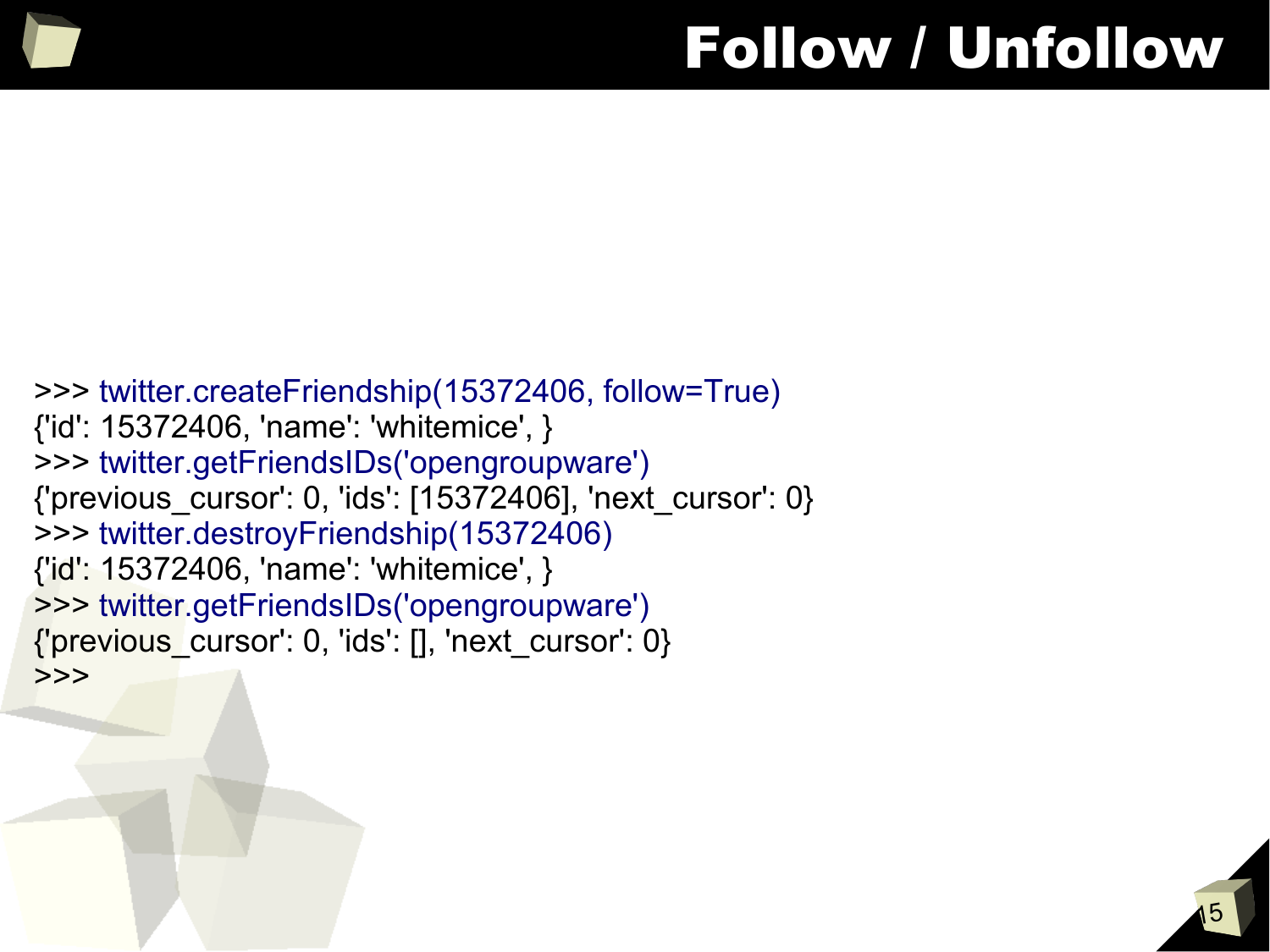#### Follow / Unfollow

```
>>> twitter.createFriendship(15372406, follow=True)
{'id': 15372406, 'name': 'whitemice', }
>>> twitter.getFriendsIDs('opengroupware')
{'previous_cursor': 0, 'ids': [15372406], 'next_cursor': 0}
>>> twitter.destroyFriendship(15372406)
{'id': 15372406, 'name': 'whitemice', }
>>> twitter.getFriendsIDs('opengroupware')
{'previous_cursor': 0, 'ids': [], 'next_cursor': 0}
>>>
```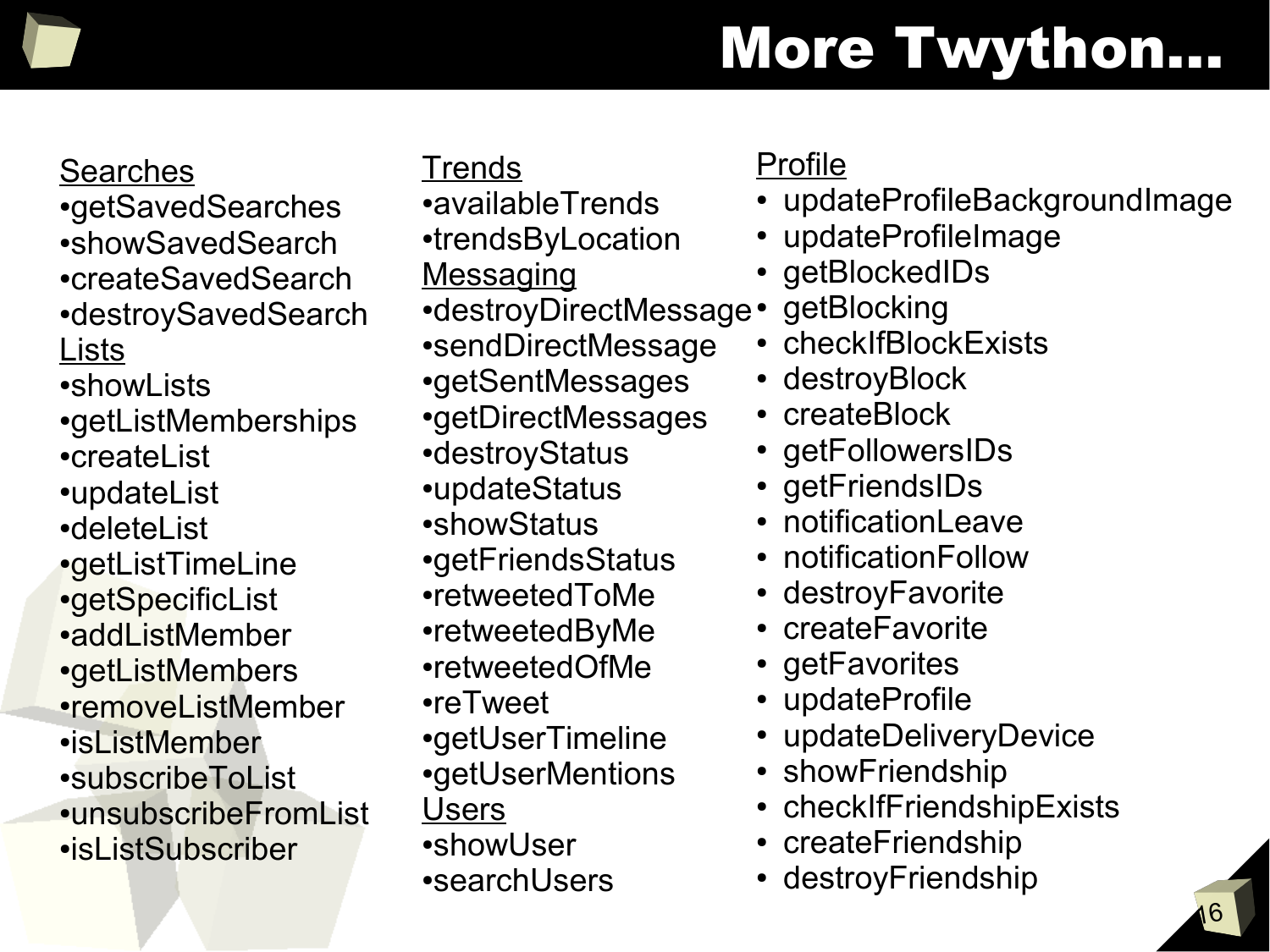# More Twython...

#### Searches

- •getSavedSearches •showSavedSearch
- •createSavedSearch •destroySavedSearch
- Lists
- •showl ists
- •getListMemberships
- ●createList
- ●updateList
- ●deleteList
- •getListTimeLine
- •getSpecificList
- ●addListMember
- •getListMembers
- •removeListMember
- ●isListMember
- ●subscribeToList ●unsubscribeFromList ●isListSubscriber

#### **Trends**

- •availableTrends
- •trendsByLocation
- **Messaging**
- •destroyDirectMessage•
- •sendDirectMessage
- •getSentMessages
- •getDirectMessages
- •destroyStatus
- ●updateStatus
- •showStatus
- •getFriendsStatus
- ●retweetedToMe
- ●retweetedByMe
- ●retweetedOfMe
- ●reTweet
- •getUserTimeline
- •getUserMentions
- **Users**
- ●showUser
- •searchUsers

#### Profile

- updateProfileBackgroundImage
- updateProfileImage
- getBlockedIDs
- getBlocking
- checkIfBlockExists
- destroyBlock
- createBlock
- getFollowersIDs
- getFriendsIDs
- notificationLeave
- notificationFollow
- destroyFavorite
- createFavorite
- getFavorites
- updateProfile
- updateDeliveryDevice
- showFriendship
- checkIfFriendshipExists
- createFriendship
- destroyFriendship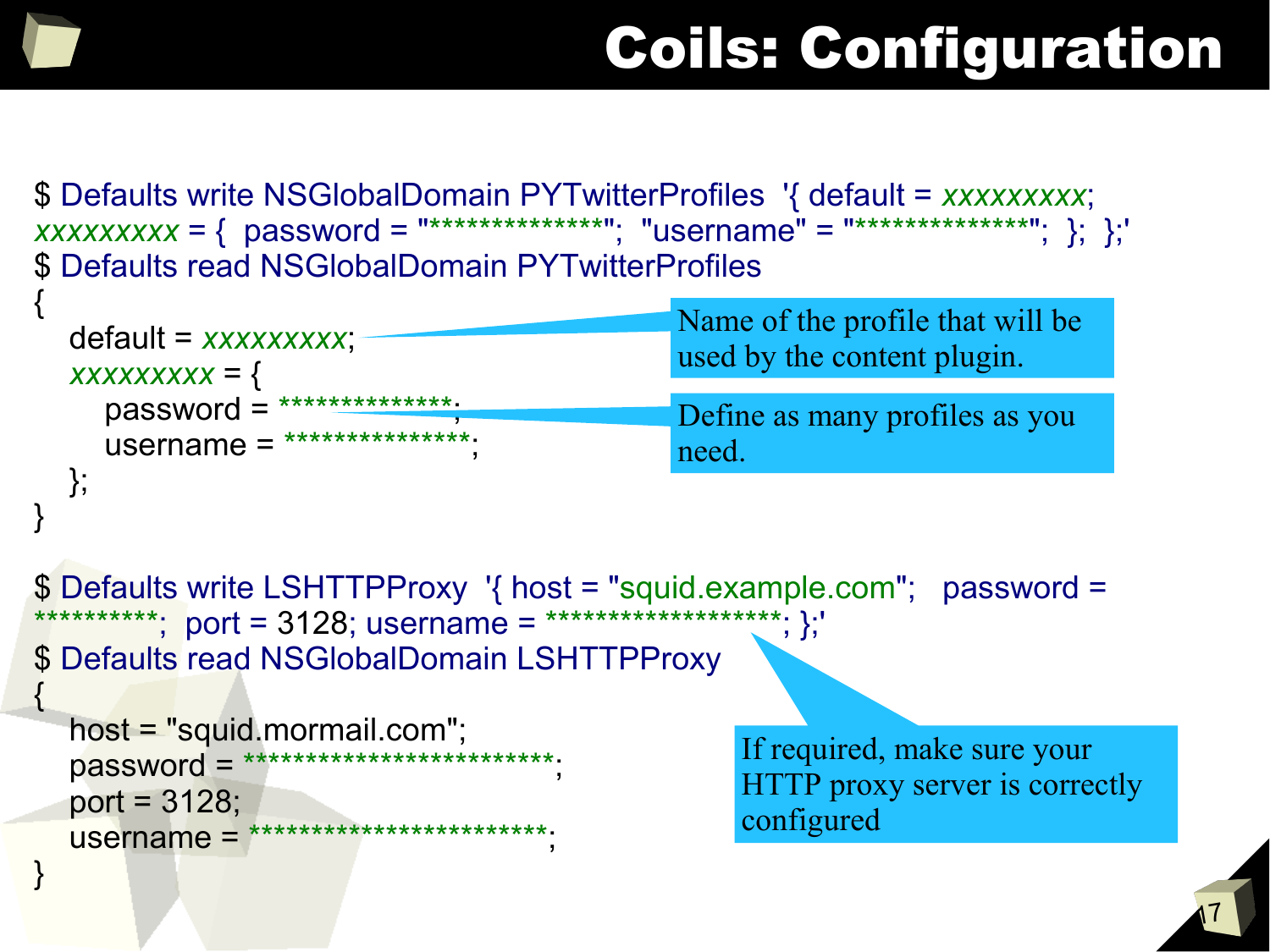{

}

# Coils: Configuration

\$ Defaults write NSGlobalDomain PYTwitterProfiles '{ default = *xxxxxxxxx*; *xxxxxxxx* = { password = "\*\*\*\*\*\*\*\*\*\*\*\*\*\*"; "username" = "\*\*\*\*\*\*\*\*\*\*\*\*\*\*"; }; }; \$ Defaults read NSGlobalDomain PYTwitterProfiles

| $default = xxxxxxxx;$                | Name of the profile that will be |
|--------------------------------------|----------------------------------|
| $XXXXXXX = \{$                       | used by the content plugin.      |
| $password = \frac{************}{*}.$ | Define as many profiles as you   |
| $username = \frac{************}{*}$  | need.                            |
|                                      |                                  |

\$ Defaults write LSHTTPProxy '{ host = "squid.example.com"; password = \*\*\*\*\*\*; port = 3128; username = \*\*\*\*\*\*\*\*\*\*\*\*\*\*\*\*\*\*\*\*; };' \$ Defaults read NSGlobalDomain LSHTTPProxy

```
 host = "squid.mormail.com";
 password = *************************;
 port = 3128;
username = **************************;
```
If required, make sure your HTTP proxy server is correctly configured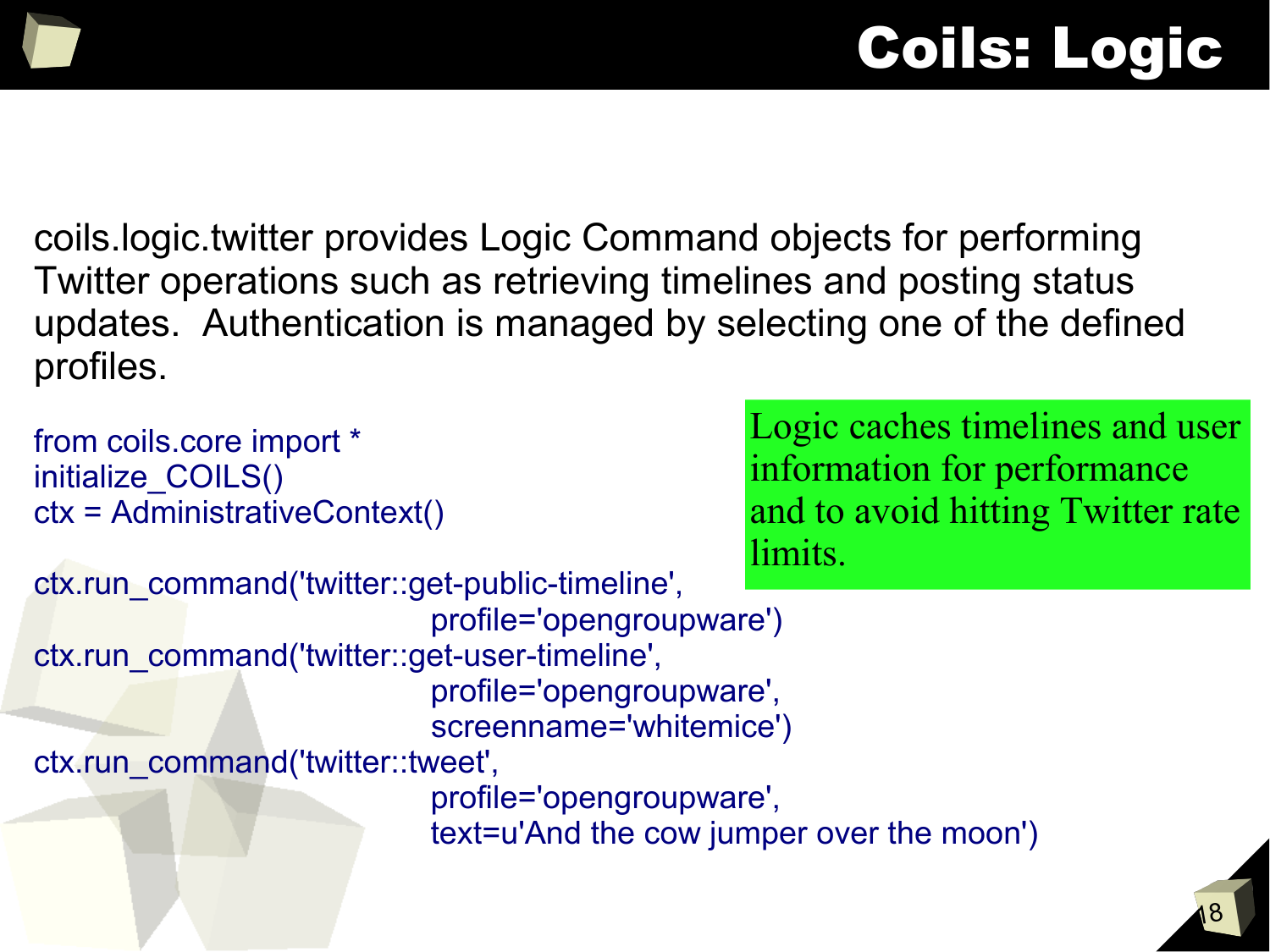## Coils: Logic

coils.logic.twitter provides Logic Command objects for performing Twitter operations such as retrieving timelines and posting status updates. Authentication is managed by selecting one of the defined profiles.

18 Logic caches timelines and user information for performance and to avoid hitting Twitter rate limits. from coils.core import \* initialize\_COILS() ctx = AdministrativeContext() ctx.run\_command('twitter::get-public-timeline', profile='opengroupware') ctx.run\_command('twitter::get-user-timeline', profile='opengroupware', screenname='whitemice') ctx.run\_command('twitter::tweet', profile='opengroupware', text=u'And the cow jumper over the moon')